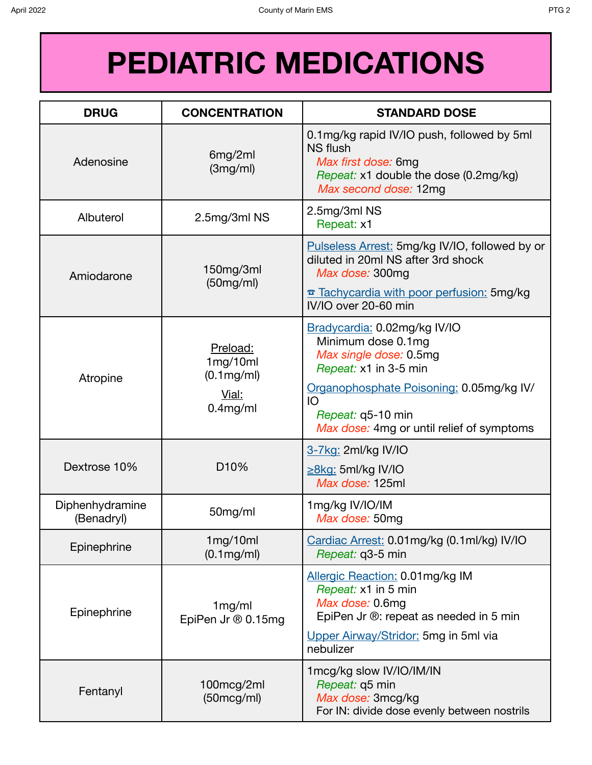| <b>DRUG</b>                   | <b>CONCENTRATION</b>                                             | <b>STANDARD DOSE</b>                                                                                                                                                                                                      |
|-------------------------------|------------------------------------------------------------------|---------------------------------------------------------------------------------------------------------------------------------------------------------------------------------------------------------------------------|
| Adenosine                     | 6mg/2ml<br>(3mg/ml)                                              | 0.1mg/kg rapid IV/IO push, followed by 5ml<br><b>NS</b> flush<br>Max first dose: 6mg<br>Repeat: x1 double the dose (0.2mg/kg)<br>Max second dose: 12mg                                                                    |
| Albuterol                     | 2.5mg/3ml NS                                                     | 2.5mg/3ml NS<br>Repeat: x1                                                                                                                                                                                                |
| Amiodarone                    | 150mg/3ml<br>(50mg/ml)                                           | Pulseless Arrest: 5mg/kg IV/IO, followed by or<br>diluted in 20ml NS after 3rd shock<br>Max dose: 300mg<br>Tachycardia with poor perfusion: 5mg/kg<br>IV/IO over 20-60 min                                                |
| Atropine                      | Preload:<br>1mg/10ml<br>$(0.1$ mg/ml $)$<br>Vial:<br>$0.4$ mg/ml | Bradycardia: 0.02mg/kg IV/IO<br>Minimum dose 0.1mg<br>Max single dose: 0.5mg<br>Repeat: x1 in 3-5 min<br>Organophosphate Poisoning: 0.05mg/kg IV/<br>IO<br>Repeat: q5-10 min<br>Max dose: 4mg or until relief of symptoms |
| Dextrose 10%                  | D <sub>10</sub> %                                                | 3-7kg: 2ml/kg IV/IO<br>$\geq$ 8kg: 5ml/kg IV/IO<br>Max dose: 125ml                                                                                                                                                        |
| Diphenhydramine<br>(Benadryl) | 50mg/ml                                                          | 1mg/kg IV/IO/IM<br>Max dose: 50mg                                                                                                                                                                                         |
| Epinephrine                   | 1mg/10ml<br>$(0.1$ mg/ml $)$                                     | Cardiac Arrest: 0.01mg/kg (0.1ml/kg) IV/IO<br>Repeat: q3-5 min                                                                                                                                                            |
| Epinephrine                   | 1mg/ml<br>EpiPen Jr ® 0.15mg                                     | Allergic Reaction: 0.01mg/kg IM<br>Repeat: x1 in 5 min<br>Max dose: 0.6mg<br>EpiPen Jr ®: repeat as needed in 5 min<br>Upper Airway/Stridor: 5mg in 5ml via<br>nebulizer                                                  |
| Fentanyl                      | 100mcg/2ml<br>(50mcg/ml)                                         | 1mcg/kg slow IV/IO/IM/IN<br>Repeat: q5 min<br>Max dose: 3mcg/kg<br>For IN: divide dose evenly between nostrils                                                                                                            |